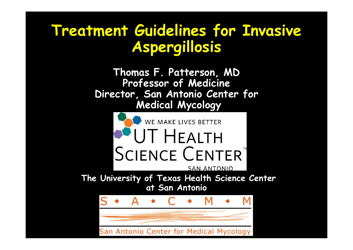### **Treatment Guidelines for Invasive Aspergillosis**

**Thomas F. Patterson, MD Professor of Medicine Director, San Antonio Center for Medical Mycology**



Antonio Center for Medical Mycology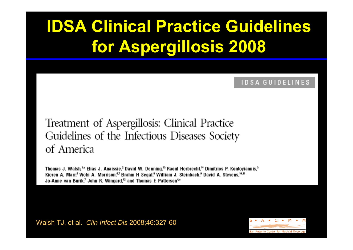# **IDSA Clinical Practice Guidelines for Aspergillosis 2008**

#### **IDSA GUIDELINES**

#### Treatment of Aspergillosis: Clinical Practice Guidelines of the Infectious Diseases Society of America

Thomas J. Walsh,<sup>1,2</sup> Elias J. Anaissie,<sup>2</sup> David W. Denning,<sup>13</sup> Raoul Herbrecht,<sup>14</sup> Dimitrios P. Kontoyiannis,<sup>3</sup> Kieren A. Marr,<sup>5</sup> Vicki A. Morrison,<sup>67</sup> Brahm H Segal,<sup>8</sup> William J. Steinbach,<sup>9</sup> David A. Stevens,<sup>10,11</sup> Jo-Anne van Burik,<sup>7</sup> John R. Wingard,<sup>12</sup> and Thomas F. Patterson<sup>4a</sup>

Walsh TJ, et al. *Clin Infect Dis* 2008;46:327-60

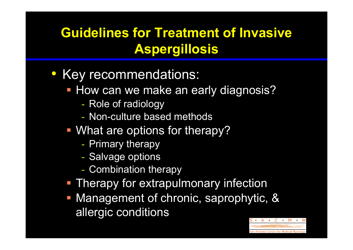#### **Guidelines for Treatment of Invasive Aspergillosis**

- Key recommendations:
	- **How can we make an early diagnosis?** 
		- -- Role of radiology
		- Non-culture based methods
	- **What are options for therapy?** 
		- -- Primary therapy
		- -- Salvage options
		- -Combination therapy
	- **Therapy for extrapulmonary infection**
	- Management of chronic, saprophytic, & allergic conditions

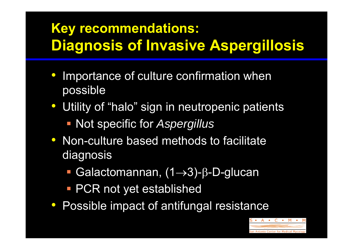### **Key recommendations: Diagnosis of Invasive Aspergillosis**

- $\bigcirc$  Importance of culture confirmation when possible
- Utility of "halo" sign in neutropenic patients
	- Not specific for *Aspergillus*
- $\bigodot$  Non-culture based methods to facilitate diagnosis
	- Galactomannan, (1→3)-β-D-glucan
	- **PCR not yet established**
- Possible impact of antifungal resistance

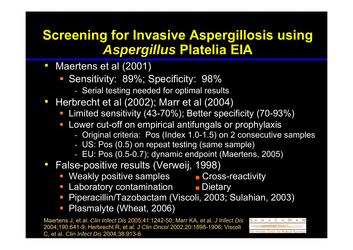#### **Screening for Invasive Aspergillosis using**  *Aspergillus* **Platelia EIA**

- Maertens et al (2001)
	- **Sensitivity: 89%; Specificity: 98%** 
		- Serial testing needed for optimal results
- Herbrecht et al (2002); Marr et al (2004)
	- Limited sensitivity (43-70%); Better specificity (70-93%)
	- $\mathbb{R}^3$  Lower cut-off on empirical antifungals or prophylaxis
		- Original criteria: Pos (Index 1.0-1.5) on 2 consecutive samples
		- US: Pos (0.5) on repeat testing (same sample)
		- EU: Pos (0.5-0.7); dynamic endpoint (Maertens, 2005)
- False-positive results (Verweij, 1998)
	- Weakly positive samples Cross-reactivity
	- $\Box$ ■ Laboratory contamination ■ Dietary
	- $\mathbb{R}^n$ Piperacillin/Tazobactam (Viscoli, 2003; Sulahian, 2003)
	- **Plasmalyte (Wheat, 2006)**

Maertens J, et al. *Clin Infect Dis* 2005;41:1242-50; Marr KA, et al. *J Infect Dis* 2004;190:641-9; Herbrecht R, et al. *J Clin Oncol* 2002;20:1898-1906; Viscoli C, et al. *Clin Infect Dis* 2004;38:913-6

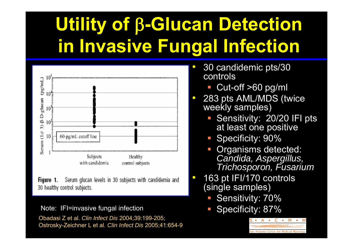# **Utility of**  β**-Glucan Detection in Invasive Fungal Infection**

 $\bullet$ 

 $\bullet$ 

 $\bullet$ 



Serum glucan levels in 30 subjects with candidemia and Figure 1. 30 healthy control subjects.

Note: IFI=invasive fungal infection

Obadasi Z et al. *Clin Infect Dis* 2004;39:199-205; Ostrosky-Zeichner L et al. *Clin Infect Dis* 2005;41:654-9

- 30 candidemic pts/30 controls
	- $\overline{\phantom{a}}$ Cut-off >60 pg/ml
- 283 pts AML/MDS (twice weekly samples)
	- Sensitivity: 20/20 IFI pts at least one positive
	- **Specificity: 90%**
	- F Organisms detected: *Candida, Aspergillus, Trichosporon, Fusarium*
- 163 pt IFI/170 controls (single samples)
	- F Sensitivity: 70%
	- Specificity: 87%

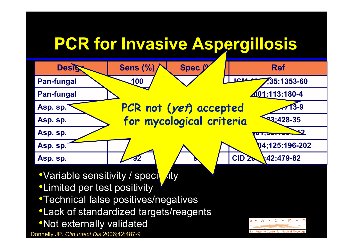#### **PCR for Invasive Aspergillosis Designal Sens**  $(\%)$  **Spec**  $\%$  / **Ref Pan-fungal** 100 / 200 **LLCM** 35:1353-60 **Pan-fungal Pan-fungal Pan-fungal Pan-fungal Pan-fungal Pan-fungal Pan-fungal Pan-fungal Pan-fungal Pan-fungal Pan-fungal Pan-fungal Pan-fungal Pan-fungal Pan-fungal Pan-fungal Pan-fungal Asp. sp. 100 65 JID 2000;181:1713-9 PCR not (yet) accepted Asp. sp. 91.7 81.3 CID 2001;33:428-35 for mycological criteriaAsp. sp. Asp. sp. 64 64 BJH 2004;125:196-202** Asp. sp.  $\sqrt{92}$   $\sqrt{9}$   $\sqrt{92}$   $\sqrt{9}$   $\sqrt{20}$   $\sqrt{42.479-82}$ •Variable sensitivity / speciesty •Limited per test positivity •Technical false positives/negatives •Lack of standardized targets/reagents  $C \rightarrow$  $M \rightarrow$ •Not externally validated Donnelly JP. *Clin Infect Dis* 2006;42:487-9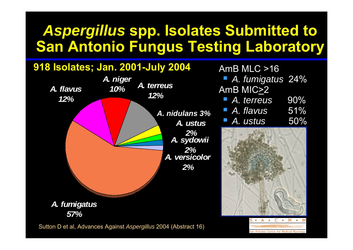### *Aspergillus* **spp. Isolates Submitted to San Antonio Fungus Testing Laboratory**



Sutton D et al, Advances Against *Aspergillus* 2004 (Abstract 16)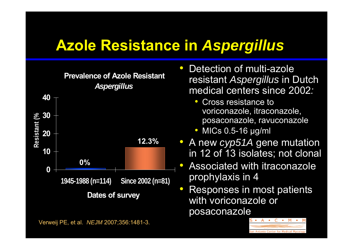### **Azole Resistance in** *Aspergillus*



Verweij PE, et al. *NEJM* 2007;356:1481-3.

- $\bullet$  Detection of multi-azole resistant *Aspergillus* in Dutch medical centers since 2002 *:*
	- $\bullet$  Cross resistance to voriconazole, itraconazole, posaconazole, ravuconazole
	- $\bullet$ • MICs 0.5-16 μg/ml
- A new *cyp51A* gene mutation in 12 of 13 isolates; not clonal
- $\bullet$  Associated with itraconazole prophylaxis in 4
- $\bullet$  Responses in most patients with voriconazole or posaconazole

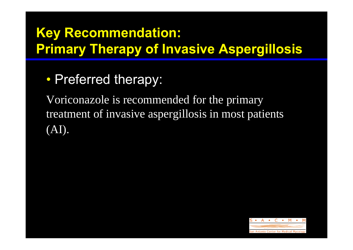### **Key Recommendation: Primary Therapy of Invasive Aspergillosis**

 $\bullet$ • Preferred therapy:

Voriconazole is recommended for the primary treatment of invasive aspergillosis in most patients (AI).

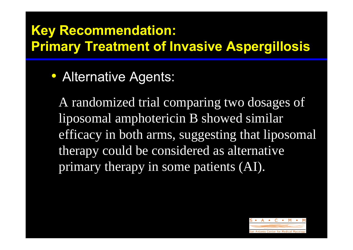#### **Key Recommendation: Primary Treatment of Invasive Aspergillosis**

• Alternative Agents:

A randomized trial comparing two dosages of liposomal amphotericin B showed similar efficacy in both arms, suggesting that liposomal therapy could be considered as alternative primary therapy in some patients (AI).

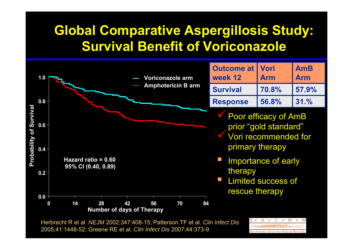#### **Global Comparative Aspergillosis Study: Survival Benefit of Voriconazole**



Herbrecht R et al *NEJM* 2002;347:408-15; Patterson TF et al. *Clin Infect Dis*  2005;41:1448-52; Greene RE et al. *Clin Infect Dis* 2007;44:373-9

 $C \rightarrow$ M A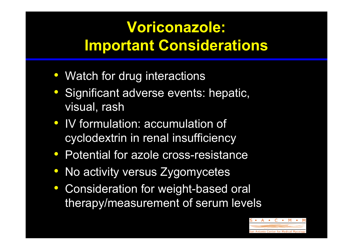### **Voriconazole: Important Considerations**

- Watch for drug interactions
- Significant adverse events: hepatic, visual, rash
- IV formulation: accumulation of cyclodextrin in renal insufficiency
- Potential for azole cross-resistance
- No activity versus Zygomycetes
- Consideration for weight-based oral therapy/measurement of serum levels

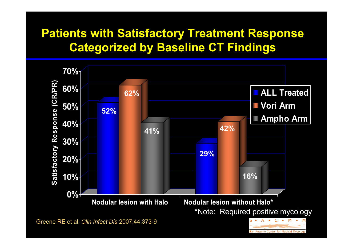#### **Patients with Satisfactory Treatment Response Categorized by Baseline CT Findings**



Greene RE et al. *Clin Infect Dis* 2007;44:373-9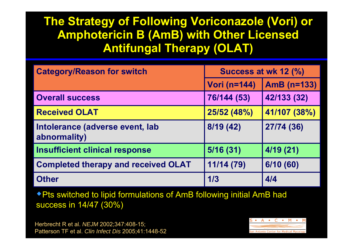#### **The Strategy of Following Voriconazole (Vori) or Amphotericin B (AmB) with Other Licensed Antifungal Therapy (OLAT)**

| <b>Category/Reason for switch</b>               | Success at wk 12 (%) |              |  |
|-------------------------------------------------|----------------------|--------------|--|
|                                                 | <b>Vori (n=144)</b>  | AmB (n=133)  |  |
| <b>Overall success</b>                          | 76/144 (53)          | 42/133 (32)  |  |
| <b>Received OLAT</b>                            | 25/52 (48%)          | 41/107 (38%) |  |
| Intolerance (adverse event, lab<br>abnormality) | 8/19 (42)            | 27/74 (36)   |  |
| <b>Insufficient clinical response</b>           | 5/16(31)             | 4/19(21)     |  |
| <b>Completed therapy and received OLAT</b>      | 11/14 (79)           | 6/10(60)     |  |
| <b>Other</b>                                    | 1/3                  | 4/4          |  |

Pts switched to lipid formulations of AmB following initial AmB had success in 14/47 (30%)

Herbrecht R et al. *NEJM* 2002;347:408-15; Patterson TF et al. *Clin Infect Dis* 2005;41:1448-52

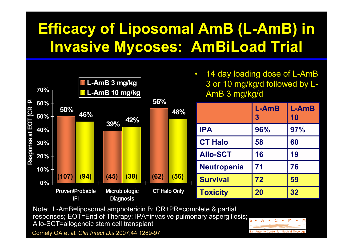### **Efficacy of Liposomal AmB (L-AmB) in Invasive Mycoses: AmBiLoad Trial**



Note: L-AmB=liposomal amphotericin B; CR+PR=complete & partial responses; EOT=End of Therapy; IPA=invasive pulmonary aspergillosis; Allo-SCT=allogeneic stem cell transplant

Cornely OA et al. *Clin Infect Dis* 2007;44:1289-97

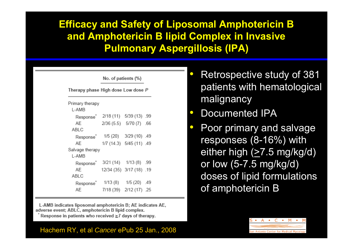#### **Efficacy and Safety of Liposomal Amphotericin B and Amphotericin B lipid Complex in Invasive Pulmonary Aspergillosis (IPA)**

| No. of patients (%)                |                          |                          |  |
|------------------------------------|--------------------------|--------------------------|--|
| Therapy phase High dose Low dose P |                          |                          |  |
| Primary therapy                    |                          |                          |  |
| L-AMB                              |                          |                          |  |
| Response <sup>*</sup>              |                          | 2/18 (11) 5/39 (13) .99  |  |
| AE                                 | 2/36 (5.5) 5/70 (7) .66  |                          |  |
| ABLC                               |                          |                          |  |
| Response <sup>®</sup>              |                          | 1/5 (20) 3/29 (10) .49   |  |
| AF                                 |                          | 1/7 (14.3) 5/45 (11) .49 |  |
| Salvage therapy                    |                          |                          |  |
| L-AMB                              |                          |                          |  |
| Response <sup>®</sup>              |                          | 3/21 (14) 1/13 (8) .99   |  |
| AE                                 | 12/34 (35) 3/17 (18) .19 |                          |  |
| ABLC                               |                          |                          |  |
| Response <sup>®</sup>              |                          | 1/13 (8) 1/5 (20) .49    |  |
| AЕ                                 |                          | 7/18 (39) 2/12 (17) .25  |  |

L-AMB indicates liposomal amphotericin B; AE indicates AE, adverse event; ABLC, amphotericin B lipid complex.

Response in patients who received  $\geq$ 7 days of therapy.

#### Hachem RY, et al *Cancer* ePub 25 Jan., 2008

- $\bigcirc$  Retrospective study of 381 patients with hematological malignancy
- $\bullet$ • Documented IPA
- $\bullet$  Poor primary and salvage responses (8-16%) with either high (>7.5 mg/kg/d) or low (5-7.5 mg/kg/d) doses of lipid formulations of amphotericin B

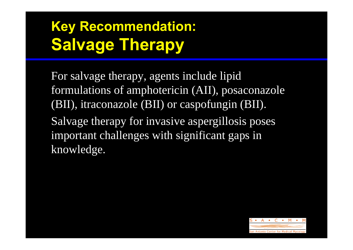### **Key Recommendation: Salvage Therapy**

For salvage therapy, agents include lipid formulations of amphotericin (AII), posaconazole (BII), itraconazole (BII) or caspofungin (BII). Salvage therapy for invasive aspergillosis poses important challenges with significant gaps in knowledge.

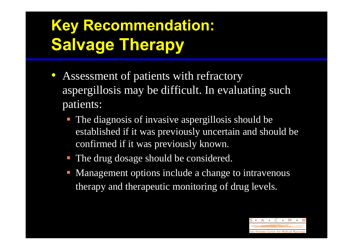# **Key Recommendation: Salvage Therapy**

- Assessment of patients with refractory aspergillosis may be difficult. In evaluating such patients:
	- **The diagnosis of invasive aspergillosis should be** established if it was previously uncertain and should be confirmed if it was previously known.
	- **The drug dosage should be considered.**
	- Management options include a change to intravenous therapy and therapeutic monitoring of drug levels.

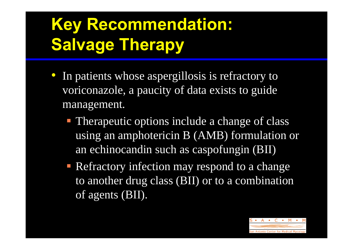# **Key Recommendation: Salvage Therapy**

- In patients whose aspergillosis is refractory to voriconazole, a paucity of data exists to guide management.
	- **Therapeutic options include a change of class** using an amphotericin B (AMB) formulation or an echinocandin such as caspofungin (BII)
	- **Refractory infection may respond to a change** to another drug class (BII) or to a combination of agents (BII).

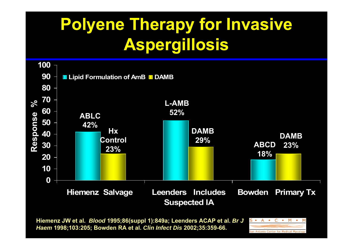# **Polyene Therapy for Invasive Aspergillosis**



**Hiemenz JW et al.** *Blood* **1995;86(suppl 1):849a; Leenders ACAP et al.** *Br J Haem* **1998;103:205; Bowden RA et al.** *Clin Infect Dis* **2002;35:359-66.**

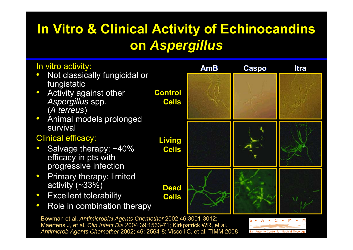#### **In Vitro & Clinical Activity of Echinocandins on** *Aspergillus*



Maertens J, et al. *Clin Infect Dis* 2004;39:1563-71; Kirkpatrick WR, et al. *Antimicrob Agents Chemother* 2002; 46: 2564-8; Viscoli C, et al. TIMM 2008

•

 $\bullet$ 

 $\bullet$ 

•

 $\bullet$ 

 $\bullet$ 

 $\bullet$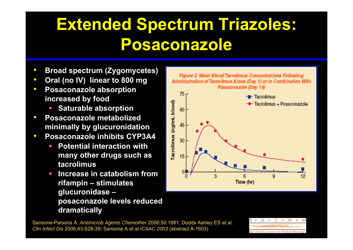# **Extended Spectrum Triazoles: Posaconazole**

- $\bullet$ **Broad spectrum (Zygomycetes)**
- $\bullet$ **Oral (no IV) linear to 800 mg**
- $\bullet$  **Posaconazole absorption increased by food**
	- **Saturable absorption**
- $\bullet$  **Posaconazole metabolized minimally by glucuronidation**
- $\bullet$  **Posaconazole inhibits CYP3A4**
	- $\mathcal{L}_{\mathcal{A}}$  **Potential interaction with many other drugs such as tacrolimus**
	- $\mathcal{L}_{\rm{max}}$  **Increase in catabolism from rifampin – stimulates glucuronidase – posaconazole levels reduced dramatically**



Sansone-Parsons A. *Antimicrob Agents Chemother* 2006;50:1881; Dodds Ashley ES et al. *Clin Infect Dis* 2006;43:S28-39; Sansone A et al *ICAAC 2003* (abstract A-1603)

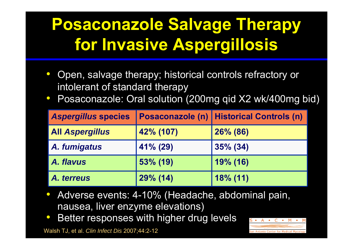# **Posaconazole Salvage Therapy for Invasive Aspergillosis**

- $\bullet$  Open, salvage therapy; historical controls refractory or intolerant of standard therapy
- $\bullet$ Posaconazole: Oral solution (200mg qid X2 wk/400mg bid)

| <b>Aspergillus species</b> |           | <b>Posaconazole (n)   Historical Controls (n)  </b> |
|----------------------------|-----------|-----------------------------------------------------|
| <b>All Aspergillus</b>     | 42% (107) | 26% (86)                                            |
| A. fumigatus               | 41% (29)  | $35\%$ (34)                                         |
| A. flavus                  | 53% (19)  | 19% (16)                                            |
| A. terreus                 | 29% (14)  | $18\%$ (11)                                         |

- $\bullet$  Adverse events: 4-10% (Headache, abdominal pain, nausea, liver enzyme elevations)
- $\bullet$ Better responses with higher drug levels

Walsh TJ, et al. *Clin Infect Dis* 2007;44:2-12

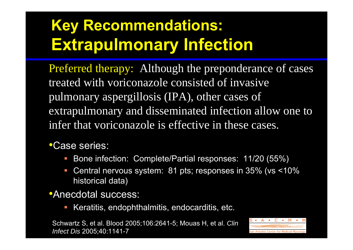# **Key Recommendations: Extrapulmonary Infection**

Preferred therapy: Although the preponderance of cases treated with voriconazole consisted of invasive pulmonary aspergillosis (IPA), other cases of extrapulmonary and disseminated infection allow one to infer that voriconazole is effective in these cases.

#### •Case series:

- $\Box$ Bone infection: Complete/Partial responses: 11/20 (55%)
- $\overline{\phantom{a}}$  Central nervous system: 81 pts; responses in 35% (vs <10% historical data)

#### •Anecdotal success:

 $\overline{\phantom{0}}$ Keratitis, endophthalmitis, endocarditis, etc.

Schwartz S, et al. Blood 2005;106:2641-5; Mouas H, et al. *Clin Infect Dis* 2005;40:1141-7

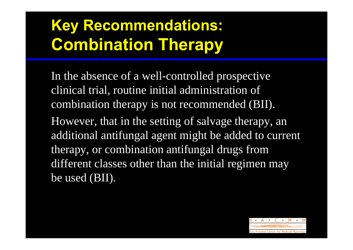# **Key Recommendations: Combination Therapy**

In the absence of a well-controlled prospective clinical trial, routine initial administration of combination therapy is not recommended (BII). However, that in the setting of salvage therapy, an additional antifungal agent might be added to current therapy, or combination antifungal drugs from different classes other than the initial regimen may be used (BII).

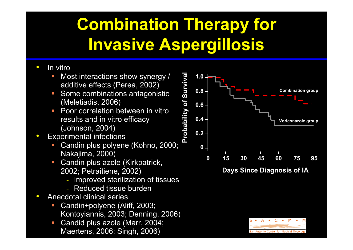# **Combination Therapy for Invasive Aspergillosis**

- $\bullet$  In vitro
	- E Most interactions show synergy / additive effects (Perea, 2002)
	- г Some combinations antagonistic (Meletiadis, 2006)
	- $\mathcal{A}$  Poor correlation between in vitro results and in vitro efficacy (Johnson, 2004)
- $\bullet$  Experimental infections
	- г Candin plus polyene (Kohno, 2000; Nakajima, 2000)
	- $\mathcal{L}_{\mathcal{A}}$  Candin plus azole (Kirkpatrick, 2002; Petraitiene, 2002)
		- Improved sterilization of tissues
		- Reduced tissue burden
- $\bullet$  Anecdotal clinical series
	- $\mathcal{C}$  Candin+polyene (Aliff, 2003; Kontoyiannis, 2003; Denning, 2006)
	- $\mathcal{L}_{\mathcal{A}}$  Candid plus azole (Marr, 2004; Maertens, 2006; Singh, 2006)



**Days Since Diagnosis of IA**

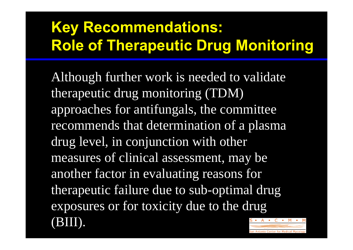### **Key Recommendations: Role of Therapeutic Drug Monitoring**

Although further work is needed to validate therapeutic drug monitoring (TDM) approaches for antifungals, the committee recommends that determination of a plasma drug level, in conjunction with other measures of clinical assessment, may be another factor in evaluating reasons for therapeutic failure due to sub-optimal drug exposures or for toxicity due to the drug (BIII).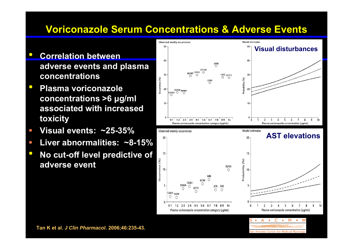#### **Voriconazole Serum Concentrations & Adverse Events**

- $\bullet$  **Correlation between adverse events and plasma concentrations**
- $\bullet$  **Plasma voriconazole concentrations >6 μg/ml associated with increased toxicity**
- **Visual events: ~25-35%**
- $\mathcal{L}_{\mathcal{A}}$ **Liver abnormalities: ~8-15%**
- $\bullet$  **No cut-off level predictive of adverse event**



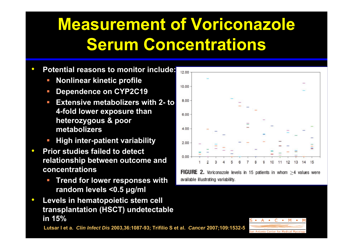# **Measurement of Voriconazole Serum Concentrations**

- $\bullet$  **Potential reasons to monitor include:**
	- п **Nonlinear kinetic profile**
	- $\mathcal{A}$ **Dependence on CYP2C19**
	- $\mathcal{L}_{\mathcal{A}}$  **Extensive metabolizers with 2- to 4-fold lower exposure than heterozygous & poor metabolizers**
	- п **High inter-patient variability**
- $\bullet$  **Prior studies failed to detect relationship between outcome and concentrations**
	- п **Trend for lower responses with random levels <0.5 μg/ml**
- $\bullet$  **Levels in hematopoietic stem cell transplantation (HSCT) undetectable in 15%**

**Lutsar I et a.** *Clin Infect Dis* **2003,36:1087-93; Trifilio S et al.** *Cancer* **2007;109:1532-5**



**FIGURE 2.** Voriconazole levels in 15 patients in whom  $\geq$ 4 values were available illustrating variability.

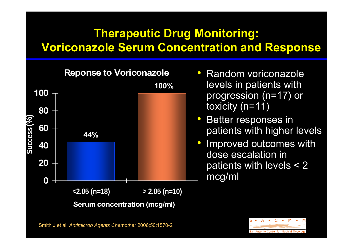#### **Therapeutic Drug Monitoring: Voriconazole Serum Concentration and Response**

**Reponse to Voriconazole 020 40 60 80 100<2.05 (n=18) > 2.05 (n=10) Serum concentration (mcg/ml)**  $\begin{array}{c|c}\n\circ & 60 \\
\hline\n\vdots & 44\% \\
\hline\n\end{array}$ **100%**

- Random voriconazole levels in patients with progression (n=17) or toxicity (n=11)
- $\bullet$  Better responses in patients with higher levels
- $\bullet$  Improved outcomes with dose escalation in patients with levels < 2 mcg/ml

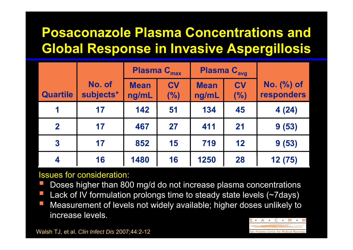#### **Posaconazole Plasma Concentrations and Global Response in Invasive Aspergillosis**

|                         |                     | <b>Plasma C<sub>max</sub></b> |                  | <b>Plasma C<sub>avg</sub></b> |                  |                          |
|-------------------------|---------------------|-------------------------------|------------------|-------------------------------|------------------|--------------------------|
| <b>Quartile</b>         | No. of<br>subjects* | <b>Mean</b><br>ng/mL          | <b>CV</b><br>(%) | <b>Mean</b><br>ng/mL          | <b>CV</b><br>(%) | No. (%) of<br>responders |
|                         | 17                  | 142                           | 51               | 134                           | 45               | 4(24)                    |
| $\mathbf 2$             | 17                  | 467                           | 27               | 411                           | 21               | 9(53)                    |
| $\overline{\mathbf{3}}$ | 17                  | 852                           | 15               | 719                           | 12               | 9(53)                    |
| $\overline{\mathbf{4}}$ | 16                  | 1480                          | 16               | 1250                          | 28               | 12 (75)                  |

#### Issues for consideration:

- T Doses higher than 800 mg/d do not increase plasma concentrations
- T Lack of IV formulation prolongs time to steady state levels (~7days)
- T Measurement of levels not widely available; higher doses unlikely to increase levels.



Walsh TJ, et al. *Clin Infect Dis* 2007;44:2-12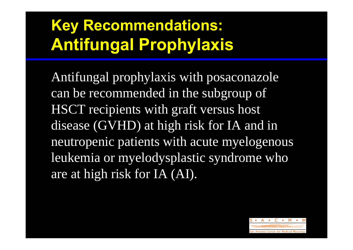# **Key Recommendations: Antifungal Prophylaxis**

Antifungal prophylaxis with posaconazole can be recommended in the subgroup of HSCT recipients with graft versus host disease (GVHD) at high risk for IA and in neutropenic patients with acute myelogenous leukemia or myelodysplastic syndrome who are at high risk for IA (AI).

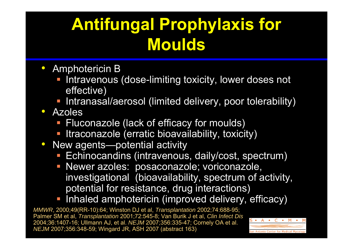# **Antifungal Prophylaxis for Moulds**

- Amphotericin B
	- **Intravenous (dose-limiting toxicity, lower doses not** effective)
	- **Intranasal/aerosol (limited delivery, poor tolerability)**
- $\bullet$  Azoles
	- **Fluconazole (lack of efficacy for moulds)**
	- **Itraconazole (erratic bioavailability, toxicity)**
- $\bullet$  New agents—potential activity
	- **Echinocandins (intravenous, daily/cost, spectrum)**
	- **Newer azoles: posaconazole; voriconazole,** investigational (bioavailability, spectrum of activity, potential for resistance, drug interactions)
	- **Inhaled amphotericin (improved delivery, efficacy)**

*MMWR*, 2000;49(RR-10):64; Winston DJ et al, *Transplantation* 2002;74:688-95; Palmer SM et al, *Transplantation* 2001;72:545-8; Van Burik J et al, *Clin Infect Dis* 2004;36:1407-16; Ullmann AJ, et al. *NEJM* 2007;356:335-47; Cornely OA et al. *NEJM* 2007;356:348-59; Wingard JR, ASH 2007 (abstract 163)

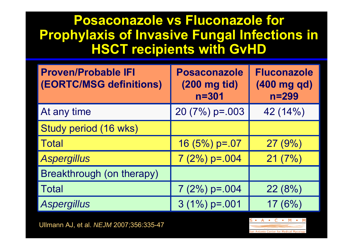#### **Posaconazole vs Fluconazole for Prophylaxis of Invasive Fungal Infections in HSCT recipients with GvHD**

| <b>Proven/Probable IFI</b><br><b>(EORTC/MSG definitions)</b> | <b>Posaconazole</b><br>(200 mg tid)<br>$n = 301$ | <b>Fluconazole</b><br>(400 mg qd)<br>$n = 299$ |
|--------------------------------------------------------------|--------------------------------------------------|------------------------------------------------|
| At any time                                                  | 20 $(7%)$ p=.003                                 | 42 (14%)                                       |
| Study period (16 wks)                                        |                                                  |                                                |
| <b>Total</b>                                                 | $16(5%) p=.07$                                   | 27(9%)                                         |
| <b>Aspergillus</b>                                           | $7(2%) p=.004$                                   | 21(7%)                                         |
| Breakthrough (on therapy)                                    |                                                  |                                                |
| <b>Total</b>                                                 | $7(2%) p=.004$                                   | 22(8%)                                         |
| <b>Aspergillus</b>                                           | $3(1\%) p=.001$                                  | 17(6%)                                         |

Ullmann AJ, et al. *NEJM* 2007;356:335-47

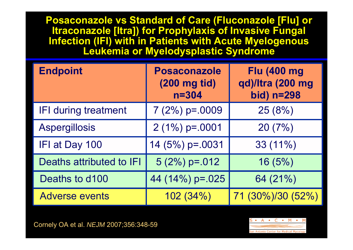**Posaconazole vs Standard of Care (Fluconazole [Flu] or Itraconazole [Itra]) for Prophylaxis of Invasive Fungal Infection (IFI) with in Patients with Acute Myelogenous Leukemia or Myelodysplastic Syndrome**

| <b>Endpoint</b>             | <b>Posaconazole</b><br>(200 mg tid)<br>$n = 304$ | <b>Flu (400 mg)</b><br>qd)/Itra (200 mg<br>bid) n=298 |
|-----------------------------|--------------------------------------------------|-------------------------------------------------------|
| <b>IFI during treatment</b> | $7(2%) p=.0009$                                  | 25(8%)                                                |
| <b>Aspergillosis</b>        | $2(1\%) p=.0001$                                 | 20(7%)                                                |
| IFI at Day 100              | 14 (5%) p=.0031                                  | $33(11\%)$                                            |
| Deaths attributed to IFI    | $5(2%) p=.012$                                   | 16(5%)                                                |
| Deaths to d100              | 44 (14%) p=.025                                  | 64 (21%)                                              |
| <b>Adverse events</b>       | 102(34%)                                         | 71 (30%)/30 (52%)                                     |

Cornely OA et al. *NEJM* 2007;356:348-59

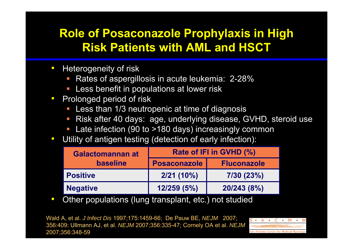#### **Role of Posaconazole Prophylaxis in High Risk Patients with AML and HSCT**

- $\bullet$  Heterogeneity of risk
	- Rates of aspergillosis in acute leukemia: 2-28%
	- Less benefit in populations at lower risk
- $\bullet$  Prolonged period of risk
	- $\Box$ Less than 1/3 neutropenic at time of diagnosis
	- $\Box$ Risk after 40 days: age, underlying disease, GVHD, steroid use
	- $\mathbb{R}^n$ Late infection (90 to >180 days) increasingly common
- $\bullet$ Utility of antigen testing (detection of early infection):

| Rate of IFI in GVHD (%) |                    |  |
|-------------------------|--------------------|--|
| <b>Posaconazole</b>     | <b>Fluconazole</b> |  |
| $2/21(10\%)$            | 7/30(23%)          |  |
| 12/259(5%)              | 20/243 (8%)        |  |
|                         |                    |  |

 $\bullet$ Other populations (lung transplant, etc.) not studied

Wald A, et al. *J Infect Dis* 1997;175:1459-66; De Pauw BE, *NEJM* 2007; 356:409; Ullmann AJ, et al. *NEJM* 2007;356:335-47; Cornely OA et al. *NEJM*  2007;356:348-59

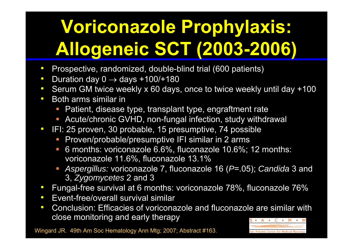# **Voriconazole Prophylaxis: Allogeneic SCT (2003-2006)**

- $\bullet$ Prospective, randomized, double-blind trial (600 patients)
- $\bullet$ Duration day  $0 \rightarrow$  days +100/+180
- $\bullet$ Serum GM twice weekly x 60 days, once to twice weekly until day +100
- $\bullet$ • Both arms similar in
	- Patient, disease type, transplant type, engraftment rate
	- Acute/chronic GVHD, non-fungal infection, study withdrawal
- $\bullet$  IFI: 25 proven, 30 probable, 15 presumptive, 74 possible
	- $\mathcal{L}_{\mathcal{A}}$ Proven/probable/presumptive IFI similar in 2 arms
	- $\mathcal{L}_{\mathcal{A}}$  6 months: voriconazole 6.6%, fluconazole 10.6%; 12 months: voriconazole 11.6%, fluconazole 13.1%
	- *Aspergillus:* voriconazole 7, fluconazole 16 (*P*=.05); *Candida* 3 and 3, *Zygomycetes* 2 and 3
- $\bullet$ Fungal-free survival at 6 months: voriconazole 78%, fluconazole 76%
- $\bullet$ Event-free/overall survival similar
- $\bullet$  Conclusion: Efficacies of voriconazole and fluconazole are similar with close monitoring and early therapy

Wingard JR. 49th Am Soc Hematology Ann Mtg; 2007; Abstract #163.

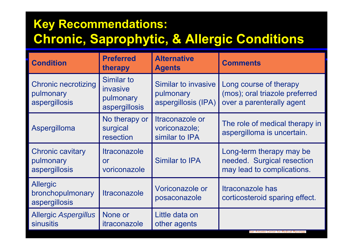#### **Key Recommendations: Chronic, Saprophytic, & Allergic Conditions**

| <b>Condition</b>                                         | <b>Preferred</b><br>therapy                          | <b>Alternative</b><br><b>Agents</b>                     | <b>Comments</b>                                                                       |
|----------------------------------------------------------|------------------------------------------------------|---------------------------------------------------------|---------------------------------------------------------------------------------------|
| <b>Chronic necrotizing</b><br>pulmonary<br>aspergillosis | Similar to<br>invasive<br>pulmonary<br>aspergillosis | Similar to invasive<br>pulmonary<br>aspergillosis (IPA) | Long course of therapy<br>(mos); oral triazole preferred<br>over a parenterally agent |
| Aspergilloma                                             | No therapy or<br>surgical<br>resection               | Itraconazole or<br>voriconazole;<br>similar to IPA      | The role of medical therapy in<br>aspergilloma is uncertain.                          |
| <b>Chronic cavitary</b><br>pulmonary<br>aspergillosis    | <b>Itraconazole</b><br>or<br>voriconazole            | <b>Similar to IPA</b>                                   | Long-term therapy may be<br>needed. Surgical resection<br>may lead to complications.  |
| <b>Allergic</b><br>bronchopulmonary<br>aspergillosis     | <b>Itraconazole</b>                                  | Voriconazole or<br>posaconazole                         | Itraconazole has<br>corticosteroid sparing effect.                                    |
| <b>Allergic Aspergillus</b><br><b>sinusitis</b>          | None or<br><i>itraconazole</i>                       | Little data on<br>other agents                          |                                                                                       |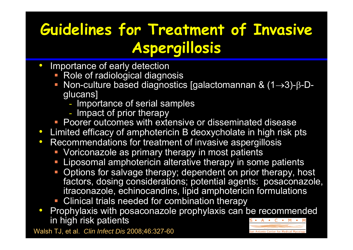### **Guidelines for Treatment of Invasive Aspergillosis**

- $\bullet$  Importance of early detection
	- **Role of radiological diagnosis**
	- Non-culture based diagnostics [galactomannan &  $(1\rightarrow 3)$ -β-Dglucans]
		- Importance of serial samples
		- Impact of prior therapy
	- **Poorer outcomes with extensive or disseminated disease**
- $\bullet$ Limited efficacy of amphotericin B deoxycholate in high risk pts
- $\bullet$  Recommendations for treatment of invasive aspergillosis
	- **Voriconazole as primary therapy in most patients**
	- Liposomal amphotericin alterative therapy in some patients
	- **-** Options for salvage therapy; dependent on prior therapy, host factors, dosing considerations; potential agents: posaconazole, itraconazole, echinocandins, lipid amphotericin formulations
	- Clinical trials needed for combination therapy
- $\bullet$  Prophylaxis with posaconazole prophylaxis can be recommended in high risk patients

Walsh TJ, et al. *Clin Infect Dis* 2008;46:327-60

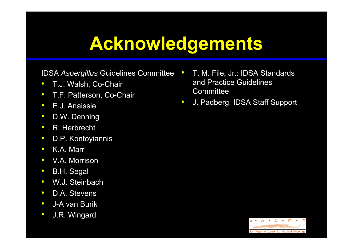# **Acknowledgements**

#### IDSA *Aspergillus* Guidelines Committee

- $\bullet$ T.J. Walsh, Co-Chair
- $\bullet$ T.F. Patterson, Co-Chair
- $\bullet$ E.J. Anaissie
- $\bullet$ D.W. Denning
- $\bullet$ R. Herbrecht
- $\bullet$ D.P. Kontoyiannis
- $\bullet$ K.A. Marr
- $\bullet$ V.A. Morrison
- $\bullet$ B.H. Segal
- $\bullet$ W.J. Steinbach
- $\bullet$ D.A. Stevens
- $\bullet$ J-A van Burik
- $\bullet$ J.R. Wingard
- • T. M. File, Jr.: IDSA Standards and Practice Guidelines Committee
- $\bullet$ J. Padberg, IDSA Staff Support